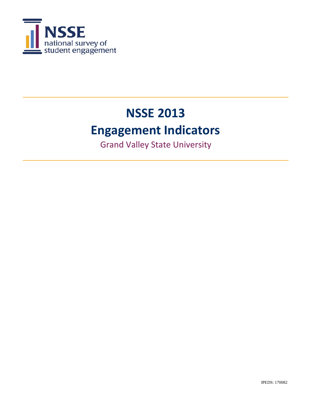

Grand Valley State University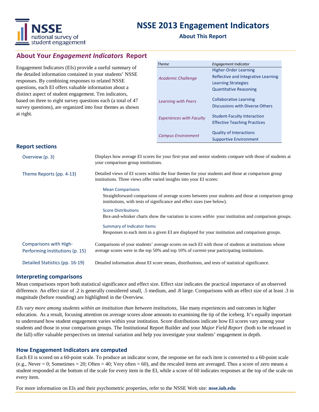

### **About Your** *Engagement Indicators* **Report**

Engagement Indicators (EIs) provide a useful summary of the detailed information contained in your students' NSSE responses. By combining responses to related NSSE questions, each EI offers valuable information about a distinct aspect of student engagement. Ten indicators, based on three to eight survey questions each (a total of 47 survey questions), are organized into four themes as shown at right.

| Theme                           | Engagement Indicator                |
|---------------------------------|-------------------------------------|
|                                 | <b>Higher-Order Learning</b>        |
| Academic Challenge              | Reflective and Integrative Learning |
|                                 | <b>Learning Strategies</b>          |
|                                 | <b>Quantitative Reasoning</b>       |
|                                 | <b>Collaborative Learning</b>       |
| Learning with Peers             | Discussions with Diverse Others     |
|                                 |                                     |
| <b>Experiences with Faculty</b> | <b>Student-Faculty Interaction</b>  |
|                                 | <b>Effective Teaching Practices</b> |
|                                 | <b>Quality of Interactions</b>      |
| <b>Campus Environment</b>       |                                     |
|                                 | <b>Supportive Environment</b>       |

#### **Report sections**

| Overview (p. 3)                                           | Displays how average EI scores for your first-year and senior students compare with those of students at<br>your comparison group institutions.                                                        |
|-----------------------------------------------------------|--------------------------------------------------------------------------------------------------------------------------------------------------------------------------------------------------------|
| Theme Reports (pp. 4-13)                                  | Detailed views of EI scores within the four themes for your students and those at comparison group<br>institutions. Three views offer varied insights into your EI scores:                             |
|                                                           | <b>Mean Comparisons</b><br>Straightforward comparisons of average scores between your students and those at comparison group<br>institutions, with tests of significance and effect sizes (see below). |
|                                                           | <b>Score Distributions</b><br>Box-and-whisker charts show the variation in scores <i>within</i> your institution and comparison groups.                                                                |
|                                                           | Summary of Indicator Items<br>Responses to each item in a given EI are displayed for your institution and comparison groups.                                                                           |
| Comparisons with High-<br>Performing Institutions (p. 15) | Comparisons of your students' average scores on each EI with those of students at institutions whose<br>average scores were in the top 50% and top 10% of current-year participating institutions.     |
| Detailed Statistics (pp. 16-19)                           | Detailed information about EI score means, distributions, and tests of statistical significance.                                                                                                       |

### **Interpreting comparisons**

Mean comparisons report both statistical significance and effect size. Effect size indicates the practical importance of an observed difference. An effect size of .2 is generally considered small, .5 medium, and .8 large. Comparisons with an effect size of at least .3 in magnitude (before rounding) are highlighted in the Overview.

*EIs vary more among students within an institution than between institutions,* like many experiences and outcomes in higher education. As a result, focusing attention on average scores alone amounts to examining the tip of the iceberg. It's equally important to understand how student engagement varies within your institution. Score distributions indicate how EI scores vary among your students and those in your comparison groups. The Institutional Report Builder and your *Major Field Report* (both to be released in the fall) offer valuable perspectives on internal variation and help you investigate your students' engagement in depth.

### **How Engagement Indicators are computed**

Each EI is scored on a 60-point scale. To produce an indicator score, the response set for each item is converted to a 60-point scale (e.g., Never = 0; Sometimes = 20; Often = 40; Very often = 60), and the rescaled items are averaged. Thus a score of zero means a student responded at the bottom of the scale for every item in the EI, while a score of 60 indicates responses at the top of the scale on every item.

For more information on EIs and their psychometric properties, refer to the NSSE Web site: **nsse.iub.edu**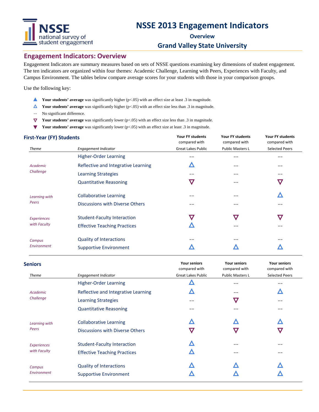

**Overview**

### **Grand Valley State University**

### **Engagement Indicators: Overview**

Engagement Indicators are summary measures based on sets of NSSE questions examining key dimensions of student engagement. The ten indicators are organized within four themes: Academic Challenge, Learning with Peers, Experiences with Faculty, and Campus Environment. The tables below compare average scores for your students with those in your comparison groups.

Use the following key:

- ▲ **Your students' average** was significantly higher (p<.05) with an effect size at least .3 in magnitude.
- △ **Your students' average** was significantly higher (p<.05) with an effect size less than .3 in magnitude.
- No significant difference.
- ▽ **Your students' average** was significantly lower (p<.05) with an effect size less than .3 in magnitude.
- ▼ **Your students' average** was significantly lower (p<.05) with an effect size at least .3 in magnitude.

|                                     | <b>Your FY students</b><br>compared with | <b>Your FY students</b><br>compared with | <b>Your FY students</b><br>compared with |
|-------------------------------------|------------------------------------------|------------------------------------------|------------------------------------------|
| Engagement Indicator                | <b>Great Lakes Public</b>                | <b>Public Masters L</b>                  | <b>Selected Peers</b>                    |
| <b>Higher-Order Learning</b>        |                                          | --                                       | --                                       |
| Reflective and Integrative Learning |                                          | --                                       | $- -$                                    |
| <b>Learning Strategies</b>          | --                                       | --                                       | $- -$                                    |
| <b>Quantitative Reasoning</b>       | V                                        |                                          | $\bm{\nabla}$                            |
| <b>Collaborative Learning</b>       | --                                       | --                                       | $\mathbf{r}$                             |
| Discussions with Diverse Others     | $= -$                                    | --                                       | $- -$                                    |
| <b>Student-Faculty Interaction</b>  | $\bf \nabla$                             | $\bm{\nabla}$                            | $\bm{\nabla}$                            |
| <b>Effective Teaching Practices</b> |                                          |                                          | --                                       |
| <b>Quality of Interactions</b>      |                                          | --                                       | --                                       |
| <b>Supportive Environment</b>       |                                          |                                          |                                          |
|                                     | <b>First-Year (FY) Students</b>          |                                          |                                          |

| <b>Seniors</b> |                                     | <b>Your seniors</b><br>compared with | <b>Your seniors</b><br>compared with | <b>Your seniors</b><br>compared with |
|----------------|-------------------------------------|--------------------------------------|--------------------------------------|--------------------------------------|
| <b>Theme</b>   | Engagement Indicator                | <b>Great Lakes Public</b>            | <b>Public Masters L</b>              | <b>Selected Peers</b>                |
|                | <b>Higher-Order Learning</b>        |                                      | $=$ $-$                              | --                                   |
| Academic       | Reflective and Integrative Learning |                                      | $=$ $-$                              | 71                                   |
| Challenge      | <b>Learning Strategies</b>          |                                      | $\bm{\nabla}$                        | --                                   |
|                | <b>Quantitative Reasoning</b>       |                                      |                                      | --                                   |
| Learning with  | <b>Collaborative Learning</b>       |                                      |                                      |                                      |
| Peers          | Discussions with Diverse Others     |                                      |                                      |                                      |
| Experiences    | <b>Student-Faculty Interaction</b>  |                                      | $=$ $-$                              | --                                   |
| with Faculty   | <b>Effective Teaching Practices</b> |                                      | $- -$                                | --                                   |
| Campus         | <b>Quality of Interactions</b>      |                                      |                                      |                                      |
| Environment    | <b>Supportive Environment</b>       |                                      |                                      |                                      |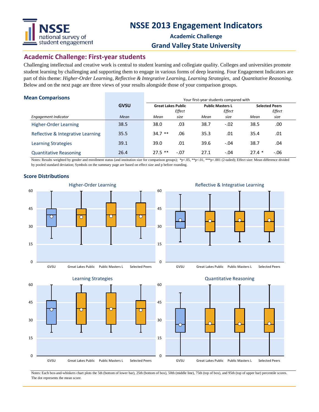

**Academic Challenge**

### **Grand Valley State University**

### **Academic Challenge: First-year students**

Challenging intellectual and creative work is central to student learning and collegiate quality. Colleges and universities promote student learning by challenging and supporting them to engage in various forms of deep learning. Four Engagement Indicators are part of this theme: *Higher-Order Learning, Reflective & Integrative Learning, Learning Strategies,* and *Quantitative Reasoning.*  Below and on the next page are three views of your results alongside those of your comparison groups.

| <b>Mean Comparisons</b>           |             | Your first-year students compared with |                         |                        |  |  |  |
|-----------------------------------|-------------|----------------------------------------|-------------------------|------------------------|--|--|--|
|                                   | <b>GVSU</b> | <b>Great Lakes Public</b>              | <b>Public Masters L</b> | <b>Selected Peers</b>  |  |  |  |
| Engagement Indicator              | Mean        | Effect<br>size<br>Mean                 | Effect<br>size<br>Mean  | Effect<br>size<br>Mean |  |  |  |
| Higher-Order Learning             | 38.5        | .03<br>38.0                            | 38.7<br>$-.02$          | .00<br>38.5            |  |  |  |
| Reflective & Integrative Learning | 35.5        | $34.7$ **<br>.06                       | 35.3<br>.01             | 35.4<br>.01            |  |  |  |
| Learning Strategies               | 39.1        | 39.0<br>.01                            | 39.6<br>$-.04$          | 38.7<br>.04            |  |  |  |
| <b>Quantitative Reasoning</b>     | 26.4        | $27.5$ **<br>$-.07$                    | 27.1<br>$-.04$          | $27.4*$<br>$-.06$      |  |  |  |

Notes: Results weighted by gender and enrollment status (and institution size for comparison groups); \*p<.05, \*\*p<.01, \*\*\*p<.001 (2-tailed); Effect size: Mean difference divided by pooled standard deviation; Symbols on the summary page are based on effect size and p before rounding.

### **Score Distributions**



Notes: Each box-and-whiskers chart plots the 5th (bottom of lower bar), 25th (bottom of box), 50th (middle line), 75th (top of box), and 95th (top of upper bar) percentile scores. The dot represents the mean score.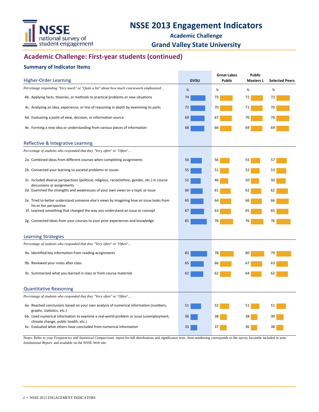

**Grand Valley State University Academic Challenge**

# **Academic Challenge: First-year students (continued)**

### **Summary of Indicator Items**

|                                                                                                                                |      | <b>Great Lakes</b> | <b>Public</b>    |                       |
|--------------------------------------------------------------------------------------------------------------------------------|------|--------------------|------------------|-----------------------|
| <b>Higher-Order Learning</b>                                                                                                   | GVSU | <b>Public</b>      | <b>Masters L</b> | <b>Selected Peers</b> |
| Percentage responding "Very much" or "Quite a bit" about how much coursework emphasized                                        | %    | %                  | %                | %                     |
| 4b. Applying facts, theories, or methods to practical problems or new situations                                               | 74   | 73                 | 72               | 72                    |
| 4c. Analyzing an idea, experience, or line of reasoning in depth by examining its parts                                        | 72   | 70                 | 71               | 70                    |
| 4d. Evaluating a point of view, decision, or information source                                                                | 69   | 67                 |                  | 70                    |
| 4e. Forming a new idea or understanding from various pieces of information                                                     | 68   |                    |                  |                       |
| Reflective & Integrative Learning                                                                                              |      |                    |                  |                       |
| Percentage of students who responded that they "Very often" or "Often"                                                         |      |                    |                  |                       |
| 2a. Combined ideas from different courses when completing assignments                                                          | 56   | 56                 | 55               | 57                    |
| 2b. Connected your learning to societal problems or issues                                                                     | 55   | 51                 | 52               | 53                    |
| 2c. Included diverse perspectives (political, religious, racial/ethnic, gender, etc.) in course                                | 51   | 46                 | 50               | 50                    |
| discussions or assignments<br>2d. Examined the strengths and weaknesses of your own views on a topic or issue                  | 60   | 61                 | 62               | 62                    |
| 2e. Tried to better understand someone else's views by imagining how an issue looks from                                       | 65   | 64                 | 66               | 66                    |
| his or her perspective<br>2f. Learned something that changed the way you understand an issue or concept                        | 67   | 63                 | 65               | 65                    |
| 2g. Connected ideas from your courses to your prior experiences and knowledge                                                  | 81   | 76                 | 76               | 76                    |
| Learning Strategies                                                                                                            |      |                    |                  |                       |
| Percentage of students who responded that they "Very often" or "Often"                                                         |      |                    |                  |                       |
| 9a. Identified key information from reading assignments                                                                        | 82   | 78                 | 80               |                       |
| 9b. Reviewed your notes after class                                                                                            | 65   | 66                 |                  | 63                    |
| 9c. Summarized what you learned in class or from course materials                                                              | 62   | 62                 |                  | 62                    |
| <b>Quantitative Reasoning</b>                                                                                                  |      |                    |                  |                       |
| Percentage of students who responded that they "Very often" or "Often"                                                         |      |                    |                  |                       |
| 6a. Reached conclusions based on your own analysis of numerical information (numbers,<br>graphs, statistics, etc.)             | 51   | 52                 | 51               | 51                    |
| 6b. Used numerical information to examine a real-world problem or issue (unemployment,<br>climate change, public health, etc.) | 36   | 38                 | 38               | 39                    |
| 6c. Evaluated what others have concluded from numerical information                                                            | 33   | 37                 | 36               | 38                    |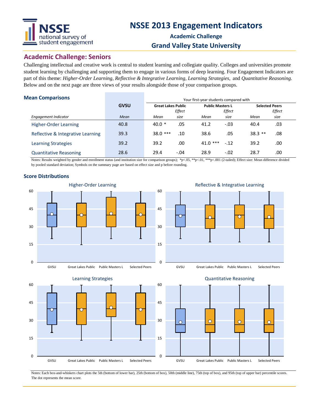

**Academic Challenge**

### **Grand Valley State University**

### **Academic Challenge: Seniors**

Challenging intellectual and creative work is central to student learning and collegiate quality. Colleges and universities promote student learning by challenging and supporting them to engage in various forms of deep learning. Four Engagement Indicators are part of this theme: *Higher-Order Learning, Reflective & Integrative Learning, Learning Strategies,* and *Quantitative Reasoning.*  Below and on the next page are three views of your results alongside those of your comparison groups.

| <b>Mean Comparisons</b>           |             | Your first-year students compared with |                         |                       |  |  |  |
|-----------------------------------|-------------|----------------------------------------|-------------------------|-----------------------|--|--|--|
|                                   | <b>GVSU</b> | <b>Great Lakes Public</b>              | <b>Public Masters L</b> | <b>Selected Peers</b> |  |  |  |
|                                   |             | Effect                                 | Effect                  | Effect                |  |  |  |
| Engagement Indicator              | Mean        | size<br>Mean                           | size<br>Mean            | size<br>Mean          |  |  |  |
| <b>Higher-Order Learning</b>      | 40.8        | .05<br>40.0 $*$                        | 41.2<br>$-.03$          | .03<br>40.4           |  |  |  |
| Reflective & Integrative Learning | 39.3        | $38.0***$<br>.10                       | 38.6<br>.05             | $38.3$ **<br>.08      |  |  |  |
| Learning Strategies               | 39.2        | 39.2<br>.00                            | $41.0***$<br>$-.12$     | 39.2<br>.00           |  |  |  |
| <b>Quantitative Reasoning</b>     | 28.6        | 29.4<br>$-.04$                         | 28.9<br>$-.02$          | 28.7<br>.00           |  |  |  |

Notes: Results weighted by gender and enrollment status (and institution size for comparison groups); \*p<.05, \*\*p<.01, \*\*\*p<.001 (2-tailed); Effect size: Mean difference divided by pooled standard deviation; Symbols on the summary page are based on effect size and p before rounding.

### **Score Distributions**



Notes: Each box-and-whiskers chart plots the 5th (bottom of lower bar), 25th (bottom of box), 50th (middle line), 75th (top of box), and 95th (top of upper bar) percentile scores. The dot represents the mean score.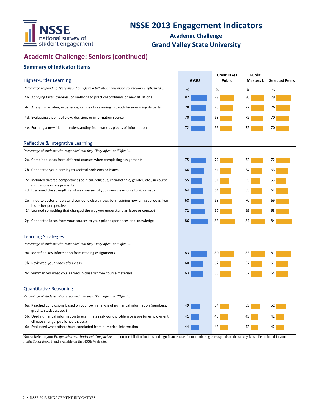

**Grand Valley State University Academic Challenge**

# **Academic Challenge: Seniors (continued)**

### **Summary of Indicator Items**

|                                                                                                                               |                | <b>Great Lakes</b> | <b>Public</b>    |                       |
|-------------------------------------------------------------------------------------------------------------------------------|----------------|--------------------|------------------|-----------------------|
| <b>Higher-Order Learning</b>                                                                                                  | GVSU           | <b>Public</b>      | <b>Masters L</b> | <b>Selected Peers</b> |
| Percentage responding "Very much" or "Quite a bit" about how much coursework emphasized                                       | %              | %                  | %                | %                     |
| 4b. Applying facts, theories, or methods to practical problems or new situations                                              | 82             | 79                 | 80               | 79                    |
| 4c. Analyzing an idea, experience, or line of reasoning in depth by examining its parts                                       | 78             | 75                 | $\prime\prime$   | 76                    |
| 4d. Evaluating a point of view, decision, or information source                                                               | 70             | 68                 | 72               | 70                    |
| 4e. Forming a new idea or understanding from various pieces of information                                                    | 72             |                    | 72               |                       |
| Reflective & Integrative Learning                                                                                             |                |                    |                  |                       |
| Percentage of students who responded that they "Very often" or "Often"                                                        |                |                    |                  |                       |
| 2a. Combined ideas from different courses when completing assignments                                                         | 75             | 72                 | 72               | 72                    |
| 2b. Connected your learning to societal problems or issues                                                                    | 66             | 61                 |                  | 63                    |
| 2c. Included diverse perspectives (political, religious, racial/ethnic, gender, etc.) in course<br>discussions or assignments | 55             | 51                 | 55               | 53                    |
| 2d. Examined the strengths and weaknesses of your own views on a topic or issue                                               | 64             | 64                 | 65               | 64                    |
| 2e. Tried to better understand someone else's views by imagining how an issue looks from<br>his or her perspective            | 68             | 68                 | 70               | 69                    |
| 2f. Learned something that changed the way you understand an issue or concept                                                 | 72             |                    |                  | 68                    |
| 2g. Connected ideas from your courses to your prior experiences and knowledge                                                 | 86             |                    |                  | 84                    |
| <b>Learning Strategies</b>                                                                                                    |                |                    |                  |                       |
| Percentage of students who responded that they "Very often" or "Often"                                                        |                |                    |                  |                       |
| 9a. Identified key information from reading assignments                                                                       | 83             | 80                 | 83               | 81                    |
| 9b. Reviewed your notes after class                                                                                           | 60             | 62                 |                  | 61                    |
| 9c. Summarized what you learned in class or from course materials                                                             | 63             | 63                 | 67               | 64                    |
| <b>Quantitative Reasoning</b>                                                                                                 |                |                    |                  |                       |
| Percentage of students who responded that they "Very often" or "Often"                                                        |                |                    |                  |                       |
| 6a. Reached conclusions based on your own analysis of numerical information (numbers,<br>graphs, statistics, etc.)            | 49             | 54                 | 53               | 52                    |
| 6b. Used numerical information to examine a real-world problem or issue (unemployment,                                        | 41             |                    | 43               |                       |
| climate change, public health, etc.)<br>6c. Evaluated what others have concluded from numerical information                   | $\Delta\Delta$ | 43                 | 42               | 42                    |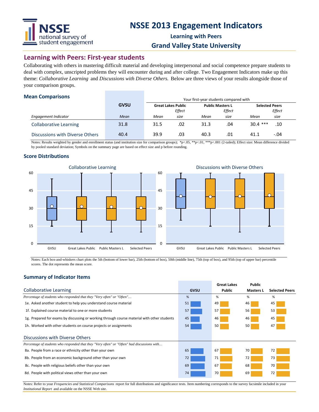

**Learning with Peers**

**Grand Valley State University**

### **Learning with Peers: First-year students**

Collaborating with others in mastering difficult material and developing interpersonal and social competence prepare students to deal with complex, unscripted problems they will encounter during and after college. Two Engagement Indicators make up this theme: *Collaborative Learning* and *Discussions with Diverse Others.* Below are three views of your results alongside those of your comparison groups.

### **Mean Comparisons**

| iedii Compansons                |             | Your first-year students compared with |                           |      |                         |                       |        |  |
|---------------------------------|-------------|----------------------------------------|---------------------------|------|-------------------------|-----------------------|--------|--|
|                                 | <b>GVSU</b> |                                        | <b>Great Lakes Public</b> |      | <b>Public Masters L</b> | <b>Selected Peers</b> |        |  |
|                                 |             |                                        | Effect                    |      | Effect                  |                       | Effect |  |
| Engagement Indicator            | Mean        | Mean                                   | size                      | Mean | size                    | Mean                  | size   |  |
| <b>Collaborative Learning</b>   | 31.8        | 31.5                                   | .02                       | 31.3 | .04                     | $30.4$ ***            | .10    |  |
| Discussions with Diverse Others | 40.4        | 39.9                                   | .03                       | 40.3 | .01                     | 41.1                  | $-.04$ |  |

Notes: Results weighted by gender and enrollment status (and institution size for comparison groups); \*p<.05, \*\*p<.01, \*\*\*p<.001 (2-tailed); Effect size: Mean difference divided by pooled standard deviation; Symbols on the summary page are based on effect size and p before rounding.

#### **Score Distributions**



Notes: Each box-and-whiskers chart plots the 5th (bottom of lower bar), 25th (bottom of box), 50th (middle line), 75th (top of box), and 95th (top of upper bar) percentile scores. The dot represents the mean score.

### **Summary of Indicator Items**

|                                                                                             |      | <b>Great Lakes</b> | <b>Public</b>    |                       |
|---------------------------------------------------------------------------------------------|------|--------------------|------------------|-----------------------|
| <b>Collaborative Learning</b>                                                               | GVSU | <b>Public</b>      | <b>Masters L</b> | <b>Selected Peers</b> |
| Percentage of students who responded that they "Very often" or "Often"                      | %    | %                  | %                | %                     |
| 1e. Asked another student to help you understand course material                            | 51   | 49                 | 46               | 45                    |
| 1f. Explained course material to one or more students                                       | 57   | 57                 | 56               | 53                    |
| 1g. Prepared for exams by discussing or working through course material with other students | 45   | 46                 | 46               | 45                    |
| 1h. Worked with other students on course projects or assignments                            | 54   | 50                 | 50               | 47                    |
| Discussions with Diverse Others                                                             |      |                    |                  |                       |
| Percentage of students who responded that they "Very often" or "Often" had discussions with |      |                    |                  |                       |
| 8a. People from a race or ethnicity other than your own                                     | 65   | 67                 | 70               | 72                    |
| 8b. People from an economic background other than your own                                  | 72   | 71                 | 72               | 73                    |
| 8c. People with religious beliefs other than your own                                       | 69   | 67                 | 68               | 70                    |
| 8d. People with political views other than your own                                         | 74   | 70                 | 69               | 72                    |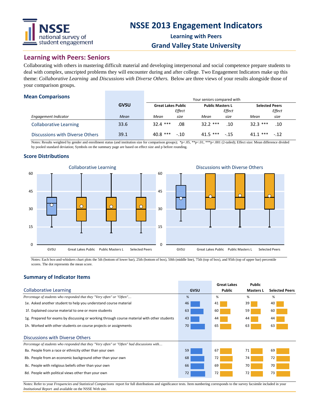

**Learning with Peers**

### **Grand Valley State University**

### **Learning with Peers: Seniors**

Collaborating with others in mastering difficult material and developing interpersonal and social competence prepare students to deal with complex, unscripted problems they will encounter during and after college. Two Engagement Indicators make up this theme: *Collaborative Learning* and *Discussions with Diverse Others.* Below are three views of your results alongside those of your comparison groups.

#### **Mean Comparisons**

| ICAII CUIIIµAI ISUIIS           |             | Your seniors compared with |                         |                       |  |  |
|---------------------------------|-------------|----------------------------|-------------------------|-----------------------|--|--|
|                                 | <b>GVSU</b> | <b>Great Lakes Public</b>  | <b>Public Masters L</b> | <b>Selected Peers</b> |  |  |
|                                 |             | <b>Effect</b>              | Effect                  | Effect                |  |  |
| Engagement Indicator            | Mean        | size<br>Mean               | size<br>Mean            | size<br>Mean          |  |  |
| <b>Collaborative Learning</b>   | 33.6        | $32.4$ ***<br>.08          | $32.2$ ***<br>.10       | $32.3***$<br>.10      |  |  |
| Discussions with Diverse Others | 39.1        | $40.8$ ***<br>$-.10$       | $41.5$ ***<br>$-.15$    | $-.12$<br>$41.1***$   |  |  |

Notes: Results weighted by gender and enrollment status (and institution size for comparison groups); \*p<.05, \*\*p<.01, \*\*\*p<.001 (2-tailed); Effect size: Mean difference divided by pooled standard deviation; Symbols on the summary page are based on effect size and p before rounding.

#### **Score Distributions**



Notes: Each box-and-whiskers chart plots the 5th (bottom of lower bar), 25th (bottom of box), 50th (middle line), 75th (top of box), and 95th (top of upper bar) percentile scores. The dot represents the mean score.

### **Summary of Indicator Items**

|                                                                                             |      | <b>Great Lakes</b> | <b>Public</b>    |                       |
|---------------------------------------------------------------------------------------------|------|--------------------|------------------|-----------------------|
| <b>Collaborative Learning</b>                                                               | GVSU | <b>Public</b>      | <b>Masters L</b> | <b>Selected Peers</b> |
| Percentage of students who responded that they "Very often" or "Often"                      | %    | %                  | %                | %                     |
| 1e. Asked another student to help you understand course material                            | 46   | 41                 | 39               | 40                    |
| 1f. Explained course material to one or more students                                       | 63   | 60                 | 59               | 60                    |
| 1g. Prepared for exams by discussing or working through course material with other students | 43   | 44                 | 44               | 44                    |
| 1h. Worked with other students on course projects or assignments                            | 70   | 65                 | 63               | 63                    |
| Discussions with Diverse Others                                                             |      |                    |                  |                       |
| Percentage of students who responded that they "Very often" or "Often" had discussions with |      |                    |                  |                       |
| 8a. People from a race or ethnicity other than your own                                     | 59   | 67                 | 71               | 69                    |
| 8b. People from an economic background other than your own                                  | 68   | 72                 | 74               | 72                    |
| 8c. People with religious beliefs other than your own                                       | 66   | 69                 | 70               | 70                    |
| 8d. People with political views other than your own                                         | 72   | 72                 | 72               | 73                    |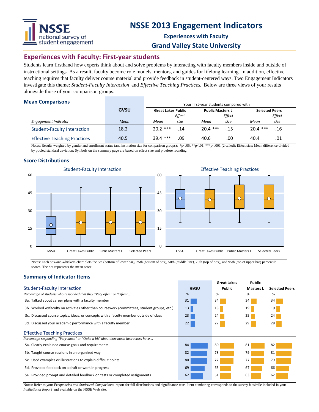

**Experiences with Faculty**

**Grand Valley State University**

### **Experiences with Faculty: First-year students**

Students learn firsthand how experts think about and solve problems by interacting with faculty members inside and outside of instructional settings. As a result, faculty become role models, mentors, and guides for lifelong learning. In addition, effective teaching requires that faculty deliver course material and provide feedback in student-centered ways. Two Engagement Indicators investigate this theme: *Student-Faculty Interaction* and *Effective Teaching Practices.* Below are three views of your results alongside those of your comparison groups.

#### **Mean Comparisons**

| ICAII CUIIIDAI ISUIIS               |             | Your first-year students compared with |                                   |                                 |  |  |  |  |  |  |
|-------------------------------------|-------------|----------------------------------------|-----------------------------------|---------------------------------|--|--|--|--|--|--|
|                                     | <b>GVSU</b> | <b>Great Lakes Public</b><br>Effect    | <b>Public Masters L</b><br>Effect | <b>Selected Peers</b><br>Effect |  |  |  |  |  |  |
| Engagement Indicator                | Mean        | size<br>Mean                           | size<br>Mean                      | size<br>Mean                    |  |  |  |  |  |  |
| <b>Student-Faculty Interaction</b>  | 18.2        | $20.2$ ***<br>$-14$                    | $20.4$ ***<br>$-.15$              | $20.4$ ***<br>$-.16$            |  |  |  |  |  |  |
| <b>Effective Teaching Practices</b> | 40.5        | $39.4$ ***<br>.09                      | 40.6<br>.00                       | .01<br>40.4                     |  |  |  |  |  |  |

Notes: Results weighted by gender and enrollment status (and institution size for comparison groups); \*p<.05, \*\*p<.01, \*\*\*p<.001 (2-tailed); Effect size: Mean difference divided by pooled standard deviation; Symbols on the summary page are based on effect size and p before rounding.

### **Score Distributions**



Notes: Each box-and-whiskers chart plots the 5th (bottom of lower bar), 25th (bottom of box), 50th (middle line), 75th (top of box), and 95th (top of upper bar) percentile scores. The dot represents the mean score.

### **Summary of Indicator Items**

|                                                                                             |      | <b>Great Lakes</b> | Public           |                       |
|---------------------------------------------------------------------------------------------|------|--------------------|------------------|-----------------------|
| <b>Student-Faculty Interaction</b>                                                          | GVSU | <b>Public</b>      | <b>Masters L</b> | <b>Selected Peers</b> |
| Percentage of students who responded that they "Very often" or "Often"                      | %    | %                  | %                | %                     |
| 3a. Talked about career plans with a faculty member                                         | 31   | 34                 | 34               | 34                    |
| 3b. Worked w/faculty on activities other than coursework (committees, student groups, etc.) | 13   | 18                 | 19               | 19                    |
| 3c. Discussed course topics, ideas, or concepts with a faculty member outside of class      | 23   | 24                 | 25               | 24                    |
| 3d. Discussed your academic performance with a faculty member                               | 22   | 27                 | 29               | 28                    |
| <b>Effective Teaching Practices</b>                                                         |      |                    |                  |                       |
| Percentage responding "Very much" or "Quite a bit" about how much instructors have          |      |                    |                  |                       |
| 5a. Clearly explained course goals and requirements                                         | 84   | 80                 | 81               | 82                    |
| 5b. Taught course sessions in an organized way                                              | 82   | 78                 | 79               | 81                    |
| 5c. Used examples or illustrations to explain difficult points                              | 80   | 77                 | 77               | 79                    |
| 5d. Provided feedback on a draft or work in progress                                        | 69   | 63                 | 67               | 66                    |
| 5e. Provided prompt and detailed feedback on tests or completed assignments                 | 62   | 61                 | 63               | 62                    |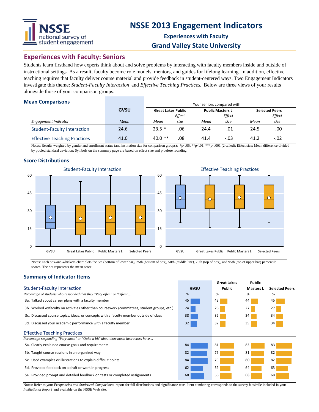

**Grand Valley State University Experiences with Faculty**

### **Experiences with Faculty: Seniors**

Students learn firsthand how experts think about and solve problems by interacting with faculty members inside and outside of instructional settings. As a result, faculty become role models, mentors, and guides for lifelong learning. In addition, effective teaching requires that faculty deliver course material and provide feedback in student-centered ways. Two Engagement Indicators investigate this theme: *Student-Faculty Interaction* and *Effective Teaching Practices.* Below are three views of your results alongside those of your comparison groups.

#### **Mean Comparisons**

| <b>CUIL CONTRANTOUR</b>             |             | Your seniors compared with |        |                         |        |                       |        |  |  |  |
|-------------------------------------|-------------|----------------------------|--------|-------------------------|--------|-----------------------|--------|--|--|--|
|                                     | <b>GVSU</b> | <b>Great Lakes Public</b>  |        | <b>Public Masters L</b> |        | <b>Selected Peers</b> |        |  |  |  |
|                                     |             |                            | Effect |                         | Effect |                       | Effect |  |  |  |
| Engagement Indicator                | Mean        | Mean                       | size   | Mean                    | size   | Mean                  | size   |  |  |  |
| <b>Student-Faculty Interaction</b>  | 24.6        | $23.5*$                    | .06    | 24.4                    | .01    | 24.5                  | .00    |  |  |  |
| <b>Effective Teaching Practices</b> | 41.0        | $40.0$ **                  | .08    | 41.4                    | $-.03$ | 41.2                  | $-.02$ |  |  |  |

Notes: Results weighted by gender and enrollment status (and institution size for comparison groups); \*p<.05, \*\*p<.01, \*\*\*p<.001 (2-tailed); Effect size: Mean difference divided by pooled standard deviation; Symbols on the summary page are based on effect size and p before rounding.

#### **Score Distributions**



Notes: Each box-and-whiskers chart plots the 5th (bottom of lower bar), 25th (bottom of box), 50th (middle line), 75th (top of box), and 95th (top of upper bar) percentile scores. The dot represents the mean score.

### **Summary of Indicator Items**

|                                                                                             |      | <b>Great Lakes</b> | <b>Public</b>    |                       |
|---------------------------------------------------------------------------------------------|------|--------------------|------------------|-----------------------|
| <b>Student-Faculty Interaction</b>                                                          | GVSU | <b>Public</b>      | <b>Masters L</b> | <b>Selected Peers</b> |
| Percentage of students who responded that they "Very often" or "Often"                      | %    | %                  | %                | %                     |
| 3a. Talked about career plans with a faculty member                                         | 45   | 42                 | 44               | 45                    |
| 3b. Worked w/faculty on activities other than coursework (committees, student groups, etc.) | 24   | 26                 | 27               | 27                    |
| 3c. Discussed course topics, ideas, or concepts with a faculty member outside of class      | 38   | 32                 | 34               | 34                    |
| 3d. Discussed your academic performance with a faculty member                               | 32   | 32                 | 35               | 34                    |
| <b>Effective Teaching Practices</b>                                                         |      |                    |                  |                       |
| Percentage responding "Very much" or "Quite a bit" about how much instructors have          |      |                    |                  |                       |
| 5a. Clearly explained course goals and requirements                                         | 84   | 81                 | 83               | 83                    |
| 5b. Taught course sessions in an organized way                                              | 82   | 79                 | 81               | 82                    |
| 5c. Used examples or illustrations to explain difficult points                              | 84   | 79                 | 80               | 82                    |
| 5d. Provided feedback on a draft or work in progress                                        | 62   | 59                 | 64               | 63                    |
| 5e. Provided prompt and detailed feedback on tests or completed assignments                 | 68   | 66                 | 68               | 68                    |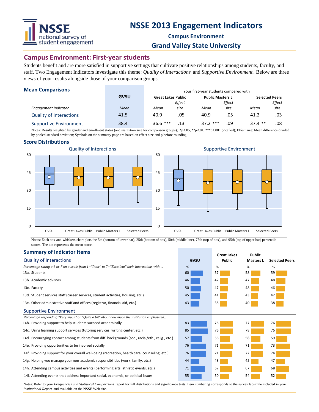

**Campus Environment**

### **Grand Valley State University**

### **Campus Environment: First-year students**

Students benefit and are more satisfied in supportive settings that cultivate positive relationships among students, faculty, and staff. Two Engagement Indicators investigate this theme: *Quality of Interactions* and *Supportive Environment.* Below are three views of your results alongside those of your comparison groups.

#### **Mean Comparisons**

| ean Comparisons                |             | Your first-year students compared with |        |                         |        |           |                       |  |  |  |
|--------------------------------|-------------|----------------------------------------|--------|-------------------------|--------|-----------|-----------------------|--|--|--|
|                                | <b>GVSU</b> | <b>Great Lakes Public</b>              |        | <b>Public Masters L</b> |        |           | <b>Selected Peers</b> |  |  |  |
|                                |             |                                        | Effect |                         | Effect |           | Effect                |  |  |  |
| Engagement Indicator           | Mean        | Mean                                   | size   | Mean                    | size   | Mean      | size                  |  |  |  |
| <b>Quality of Interactions</b> | 41.5        | 40.9                                   | .05    | 40.9                    | .05    | 41.2      | .03                   |  |  |  |
| <b>Supportive Environment</b>  | 38.4        | $36.6$ ***                             | .13    | $37.2$ ***              | .09    | $37.4$ ** | .08                   |  |  |  |

Notes: Results weighted by gender and enrollment status (and institution size for comparison groups); \*p<.05, \*\*p<.01, \*\*\*p<.001 (2-tailed); Effect size: Mean difference divided by pooled standard deviation; Symbols on the summary page are based on effect size and p before rounding.

#### **Score Distributions**



Notes: Each box-and-whiskers chart plots the 5th (bottom of lower bar), 25th (bottom of box), 50th (middle line), 75th (top of box), and 95th (top of upper bar) percentile scores. The dot represents the mean score.

### **Summary of Indicator Items**

|                                                                                                       |      | <b>Great Lakes</b> | Public           |                       |
|-------------------------------------------------------------------------------------------------------|------|--------------------|------------------|-----------------------|
| <b>Quality of Interactions</b>                                                                        | GVSU | Public             | <b>Masters L</b> | <b>Selected Peers</b> |
| Percentage rating a 6 or 7 on a scale from $1 = "Poor"$ to $7 = "Executelet"$ their interactions with | %    | %                  | %                | %                     |
| 13a. Students                                                                                         | 60   | 57                 | 58               | 59                    |
| 13b. Academic advisors                                                                                | 46   | 47                 | 47               | 48                    |
| 13c. Faculty                                                                                          | 50   | 47                 | 48               | 46                    |
| 13d. Student services staff (career services, student activities, housing, etc.)                      | 45   | 41                 | 43               | 42                    |
| 13e. Other administrative staff and offices (registrar, financial aid, etc.)                          | 43   | 38                 | 40               | 38                    |
| <b>Supportive Environment</b>                                                                         |      |                    |                  |                       |
| Percentage responding "Very much" or "Quite a bit" about how much the institution emphasized          |      |                    |                  |                       |
| 14b. Providing support to help students succeed academically                                          | 83   | 76                 | 77               | 76                    |
| 14c. Using learning support services (tutoring services, writing center, etc.)                        | 85   | 76                 | 78               | 76                    |
| 14d. Encouraging contact among students from diff. backgrounds (soc., racial/eth., relig., etc.)      | 57   | 56                 | 58               | 59                    |
| 14e. Providing opportunities to be involved socially                                                  | 76   | 71                 | 71               | 73                    |
| 14f. Providing support for your overall well-being (recreation, health care, counseling, etc.)        | 76   | 71                 | 72               | 74                    |
| 14g. Helping you manage your non-academic responsibilities (work, family, etc.)                       | 44   | 43                 | 45               | 47                    |
| 14h. Attending campus activities and events (performing arts, athletic events, etc.)                  | 71   | 67                 | 67               | 68                    |
| 14i. Attending events that address important social, economic, or political issues                    | 55   | 50                 | 54               | 52                    |
|                                                                                                       |      |                    |                  |                       |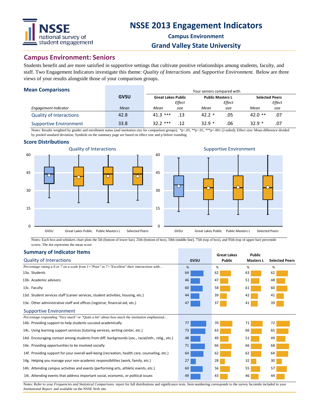

**Campus Environment**

### **Grand Valley State University**

### **Campus Environment: Seniors**

Students benefit and are more satisfied in supportive settings that cultivate positive relationships among students, faculty, and staff. Two Engagement Indicators investigate this theme: *Quality of Interactions* and *Supportive Environment.* Below are three views of your results alongside those of your comparison groups.

#### **Mean Comparisons**

| ean Comparisons                |             | Your seniors compared with |                         |                       |  |  |  |  |  |  |
|--------------------------------|-------------|----------------------------|-------------------------|-----------------------|--|--|--|--|--|--|
|                                | <b>GVSU</b> | <b>Great Lakes Public</b>  | <b>Public Masters L</b> | <b>Selected Peers</b> |  |  |  |  |  |  |
|                                |             | Effect                     | Effect                  | Effect                |  |  |  |  |  |  |
| Engagement Indicator           | Mean        | size<br>Mean               | size<br>Mean            | size<br>Mean          |  |  |  |  |  |  |
| <b>Quality of Interactions</b> | 42.8        | $41.3***$<br>.13           | .05<br>$42.2*$          | .07<br>$42.0$ **      |  |  |  |  |  |  |
| <b>Supportive Environment</b>  | 33.8        | $32.2$ ***<br>.12          | $32.9*$<br>.06          | $32.9*$<br>.07        |  |  |  |  |  |  |

Notes: Results weighted by gender and enrollment status (and institution size for comparison groups); \*p<.05, \*\*p<.01, \*\*\*p<.001 (2-tailed); Effect size: Mean difference divided by pooled standard deviation; Symbols on the summary page are based on effect size and p before rounding.

#### **Score Distributions**



Notes: Each box-and-whiskers chart plots the 5th (bottom of lower bar), 25th (bottom of box), 50th (middle line), 75th (top of box), and 95th (top of upper bar) percentile scores. The dot represents the mean score.

### **Summary of Indicator Items**

| $3$ anningi y 91 marcator recins                                                                     |             | <b>Great Lakes</b> | <b>Public</b>    |                       |
|------------------------------------------------------------------------------------------------------|-------------|--------------------|------------------|-----------------------|
| <b>Quality of Interactions</b>                                                                       | <b>GVSU</b> | <b>Public</b>      | <b>Masters L</b> | <b>Selected Peers</b> |
| Percentage rating a 6 or 7 on a scale from $1 = "Poor"$ to $7 = "Excellent"$ their interactions with | %           | %                  | %                | %                     |
| 13a. Students                                                                                        | 64          | 62                 | 63               | 62                    |
| 13b. Academic advisors                                                                               | 46          | 47                 | 51               | 48                    |
| 13c. Faculty                                                                                         | 60          | 58                 | 61               | 60                    |
| 13d. Student services staff (career services, student activities, housing, etc.)                     | 44          | 39                 | 42               | 41                    |
| 13e. Other administrative staff and offices (registrar, financial aid, etc.)                         | 47          | 37                 | 41               | 39                    |
| <b>Supportive Environment</b>                                                                        |             |                    |                  |                       |
| Percentage responding "Very much" or "Quite a bit" about how much the institution emphasized         |             |                    |                  |                       |
| 14b. Providing support to help students succeed academically                                         | 77          | 70                 | 71               | 72                    |
| 14c. Using learning support services (tutoring services, writing center, etc.)                       | 73          | 63                 | 66               | 65                    |
| 14d. Encouraging contact among students from diff. backgrounds (soc., racial/eth., relig., etc.)     | 48          | 49                 | 51               | 49                    |
| 14e. Providing opportunities to be involved socially                                                 | 71          | 66                 | 66               | 68                    |
| 14f. Providing support for your overall well-being (recreation, health care, counseling, etc.)       | 64          | 62                 | 62               | 64                    |
| 14g. Helping you manage your non-academic responsibilities (work, family, etc.)                      | 27          | 28                 | 32               | 30                    |
| 14h. Attending campus activities and events (performing arts, athletic events, etc.)                 | 60          | 56                 | 55               | 57                    |
| 14. Attending events that address important social, economic, or political issues                    | 49          | 43                 | 46               | 44                    |
|                                                                                                      |             |                    |                  |                       |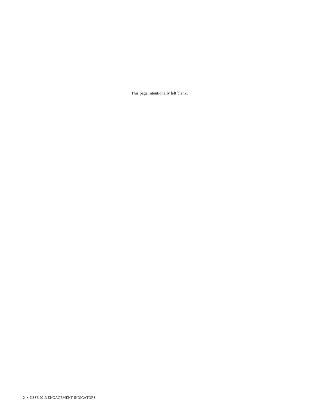This page intentionally left blank.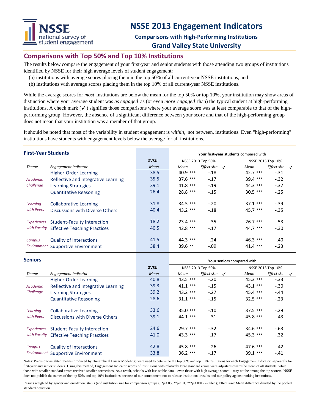

### **Comparisons with High-Performing Institutions Grand Valley State University**

### **Comparisons with Top 50% and Top 10% Institutions**

The results below compare the engagement of your first-year and senior students with those attending two groups of institutions identified by NSSE for their high average levels of student engagement:

- (a) institutions with average scores placing them in the top 50% of all current-year NSSE institutions, and
- (b) institutions with average scores placing them in the top 10% of all current-year NSSE institutions.

While the average scores for *most* institutions are below the mean for the top 50% or top 10%, your institution may show areas of distinction where your average student was *as engaged* as (or even *more engaged* than) the typical student at high-performing institutions. A check mark  $\mathcal O$  signifies those comparisons where your average score was at least comparable to that of the highperforming group. However, the absence of a significant difference between your score and that of the high-performing group does not mean that your institution was a member of that group.

It should be noted that most of the variability in student engagement is *within,* not between, institutions. Even "high-performing" institutions have students with engagement levels below the average for all institutions.

|                    | <b>First-Year Students</b>          |      |            |                             | Your first-year students compared with |                   |              |  |  |
|--------------------|-------------------------------------|------|------------|-----------------------------|----------------------------------------|-------------------|--------------|--|--|
|                    |                                     | GVSU |            | NSSE 2013 Top 50%           |                                        | NSSE 2013 Top 10% |              |  |  |
| <b>Theme</b>       | Engagement Indicator                | Mean | Mean       | Effect size<br>$\checkmark$ | Mean                                   | Effect size       | $\checkmark$ |  |  |
|                    | Higher-Order Learning               | 38.5 | $40.9***$  | $-.18$                      | $42.7***$                              | $-.31$            |              |  |  |
| Academic           | Reflective and Integrative Learning | 35.5 | $37.6***$  | $-.17$                      | $39.4$ ***                             | $-.32$            |              |  |  |
| Challenge          | Learning Strategies                 | 39.1 | $41.8***$  | $-.19$                      | 44.3 ***                               | $-.37$            |              |  |  |
|                    | <b>Quantitative Reasoning</b>       | 26.4 | 28.8 ***   | $-.15$                      | $30.5***$                              | $-.25$            |              |  |  |
| Learning           | <b>Collaborative Learning</b>       | 31.8 | $34.5$ *** | $-.20$                      | $37.1***$                              | $-.39$            |              |  |  |
| with Peers         | Discussions with Diverse Others     | 40.4 | $43.2$ *** | $-.18$                      | $45.7***$                              | $-.35$            |              |  |  |
| <b>Experiences</b> | <b>Student-Faculty Interaction</b>  | 18.2 | $23.4$ *** | $-.35$                      | $26.7***$                              | $-.53$            |              |  |  |
| with Faculty       | <b>Effective Teaching Practices</b> | 40.5 | 42.8 ***   | $-.17$                      | 44.7 ***                               | $-.30$            |              |  |  |
| Campus             | <b>Quality of Interactions</b>      | 41.5 | $44.3***$  | $-.24$                      | $46.3***$                              | $-.40$            |              |  |  |
| Environment        | <b>Supportive Environment</b>       | 38.4 | $39.6$ **  | $-.09$                      | $41.4***$                              | $-.23$            |              |  |  |

| <b>Seniors</b>  |                                           |      | Your seniors compared with |                             |            |                             |  |  |  |
|-----------------|-------------------------------------------|------|----------------------------|-----------------------------|------------|-----------------------------|--|--|--|
|                 |                                           | GVSU |                            | NSSE 2013 Top 50%           |            | NSSE 2013 Top 10%           |  |  |  |
| <b>Theme</b>    | Engagement Indicator                      | Mean | Mean                       | Effect size<br>$\checkmark$ | Mean       | Effect size<br>$\checkmark$ |  |  |  |
|                 | Higher-Order Learning                     | 40.8 | $43.5$ ***                 | $-.20$                      | $45.3***$  | $-.33$                      |  |  |  |
| <b>Academic</b> | Reflective and Integrative Learning       | 39.3 | $41.1***$                  | $-.15$                      | $43.1***$  | $-.30$                      |  |  |  |
| Challenge       | <b>Learning Strategies</b>                | 39.2 | $43.2$ ***                 | $-.27$                      | 45.4 ***   | $-.44$                      |  |  |  |
|                 | <b>Quantitative Reasoning</b>             | 28.6 | $31.1***$                  | $-.15$                      | $32.5***$  | $-.23$                      |  |  |  |
| Learning        | <b>Collaborative Learning</b>             | 33.6 | $35.0***$                  | $-.10$                      | $37.5***$  | $-.29$                      |  |  |  |
| with Peers      | Discussions with Diverse Others           | 39.1 | $44.1***$                  | $-.31$                      | 45.8 ***   | $-.43$                      |  |  |  |
| Experiences     | <b>Student-Faculty Interaction</b>        | 24.6 | $29.7***$                  | $-.32$                      | $34.6***$  | $-63$                       |  |  |  |
| with Faculty    | <b>Effective Teaching Practices</b>       | 41.0 | $43.3***$                  | $-.17$                      | $45.3***$  | $-.32$                      |  |  |  |
| Campus          | <b>Quality of Interactions</b>            | 42.8 | 45.8 ***                   | $-.26$                      | $47.6$ *** | $-.42$                      |  |  |  |
|                 | <b>Environment Supportive Environment</b> | 33.8 | $36.2$ ***                 | $-.17$                      | $39.1***$  | $-.41$                      |  |  |  |

Notes: Precision-weighted means (produced by Hierarchical Linear Modeling) were used to determine the top 50% and top 10% institutions for each Engagement Indicator, separately for first-year and senior students. Using this method, Engagement Indicator scores of institutions with relatively large standard errors were adjusted toward the mean of all students, while those with smaller standard errors received smaller corrections. As a result, schools with less stable data—even those with high average scores—may not be among the top scorers. NSSE does not publish the names of the top 50% and top 10% institutions because of our commitment not to release institutional results and our policy against ranking institutions.

Results weighted by gender and enrollment status (and institution size for comparison groups); \*p<.05, \*\*p<.01, \*\*\*p<.001 (2-tailed); Effect size: Mean difference divided by the pooled standard deviation.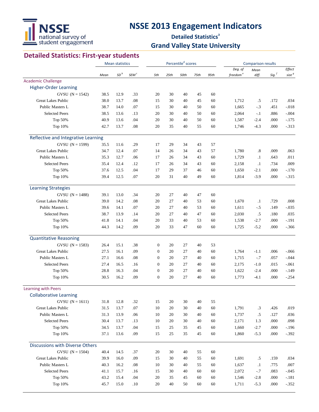

**Grand Valley State University Detailed Statistics<sup>a</sup>** 

# **Detailed Statistics: First-year students**

|                                                      |      | <b>Mean statistics</b> |                  |                | Percentile <sup>d</sup> scores |      |      | <b>Comparison results</b> |                                 |               |          |                             |
|------------------------------------------------------|------|------------------------|------------------|----------------|--------------------------------|------|------|---------------------------|---------------------------------|---------------|----------|-----------------------------|
|                                                      | Mean | SD <sup>b</sup>        | SEM <sup>c</sup> | 5th            | 25th                           | 50th | 75th | 95th                      | Deg. of<br>freedom <sup>e</sup> | Mean<br>diff. | Sig. $f$ | Effect<br>size <sup>g</sup> |
| <b>Academic Challenge</b>                            |      |                        |                  |                |                                |      |      |                           |                                 |               |          |                             |
| <b>Higher-Order Learning</b>                         |      |                        |                  |                |                                |      |      |                           |                                 |               |          |                             |
| $GVSU (N = 1542)$                                    | 38.5 | 12.9                   | .33              | 20             | 30                             | 40   | 45   | 60                        |                                 |               |          |                             |
| <b>Great Lakes Public</b>                            | 38.0 | 13.7                   | .08              | 15             | 30                             | 40   | 45   | 60                        | 1,712                           | .5            | .172     | .034                        |
| Public Masters L                                     | 38.7 | 14.0                   | .07              | 15             | 30                             | 40   | 50   | 60                        | 1,665                           | $-3$          | .451     | $-.018$                     |
| <b>Selected Peers</b>                                | 38.5 | 13.6                   | .13              | 20             | 30                             | 40   | 50   | 60                        | 2,064                           | $-.1$         | .886     | $-.004$                     |
| Top 50%                                              | 40.9 | 13.6                   | .04              | 20             | 30                             | 40   | 50   | 60                        | 1,587                           | $-2.4$        | .000     | $-.175$                     |
| Top 10%                                              | 42.7 | 13.7                   | .08              | 20             | 35                             | 40   | 55   | 60                        | 1,746                           | $-4.3$        | .000     | $-313$                      |
| Reflective and Integrative Learning                  |      |                        |                  |                |                                |      |      |                           |                                 |               |          |                             |
| $GVSU (N = 1599)$                                    | 35.5 | 11.6                   | .29              | 17             | 29                             | 34   | 43   | 57                        |                                 |               |          |                             |
| <b>Great Lakes Public</b>                            | 34.7 | 12.4                   | .07              | 14             | 26                             | 34   | 43   | 57                        | 1,780                           | $.8\,$        | .009     | .063                        |
| Public Masters L                                     | 35.3 | 12.7                   | .06              | 17             | 26                             | 34   | 43   | 60                        | 1,729                           | $\cdot$ 1     | .643     | .011                        |
| <b>Selected Peers</b>                                | 35.4 | 12.4                   | .12              | 17             | 26                             | 34   | 43   | 60                        | 2,158                           | $\cdot$ 1     | .734     | .009                        |
| Top 50%                                              | 37.6 | 12.5                   | .04              | 17             | 29                             | 37   | 46   | 60                        | 1,650                           | $-2.1$        | .000     | $-.170$                     |
| Top 10%                                              | 39.4 | 12.5                   | .07              | 20             | 31                             | 40   | 49   | 60                        | 1,814                           | $-3.9$        | .000     | $-0.315$                    |
| <b>Learning Strategies</b>                           |      |                        |                  |                |                                |      |      |                           |                                 |               |          |                             |
| $GVSU (N = 1488)$                                    | 39.1 | 13.0                   | .34              | 20             | 27                             | 40   | 47   | 60                        |                                 |               |          |                             |
| <b>Great Lakes Public</b>                            | 39.0 | 14.2                   | .08              | 20             | 27                             | 40   | 53   | 60                        | 1,670                           | $\cdot$ 1     | .729     | .008                        |
| Public Masters L                                     | 39.6 | 14.1                   | .07              | 20             | 27                             | 40   | 53   | 60                        | 1,611                           | $-.5$         | .149     | $-0.035$                    |
| <b>Selected Peers</b>                                | 38.7 | 13.9                   | .14              | 20             | 27                             | 40   | 47   | 60                        | 2,030                           | .5            | .180     | .035                        |
| Top 50%                                              | 41.8 | 14.1                   | .04              | 20             | 33                             | 40   | 53   | 60                        | 1,538                           | $-2.7$        | .000     | $-.191$                     |
| Top 10%                                              | 44.3 | 14.2                   | .09              | 20             | 33                             | 47   | 60   | 60                        | 1,725                           | $-5.2$        | .000     | $-.366$                     |
| <b>Quantitative Reasoning</b>                        |      |                        |                  |                |                                |      |      |                           |                                 |               |          |                             |
| $GVSU (N = 1583)$                                    | 26.4 | 15.1                   | .38              | $\theta$       | 20                             | 27   | 40   | 53                        |                                 |               |          |                             |
| <b>Great Lakes Public</b>                            | 27.5 | 16.1                   | .09              | $\mathbf{0}$   | 20                             | 27   | 40   | 60                        | 1,764                           | $-1.1$        | .006     | $-.066$                     |
| Public Masters L                                     | 27.1 | 16.6                   | .08              | $\overline{0}$ | 20                             | 27   | 40   | 60                        | 1,715                           | $-.7$         | .057     | $-.044$                     |
| <b>Selected Peers</b>                                | 27.4 | 16.5                   | .16              | $\theta$       | 20                             | 27   | 40   | 60                        | 2,175                           | $-1.0$        | .015     | $-.061$                     |
| Top 50%                                              | 28.8 | 16.3                   | .04              | $\theta$       | 20                             | 27   | 40   | 60                        | 1,622                           | $-2.4$        | .000     | $-149$                      |
| Top 10%                                              | 30.5 | 16.2                   | .09              | $\theta$       | 20                             | 27   | 40   | 60                        | 1,773                           | $-4.1$        | .000     | $-.254$                     |
|                                                      |      |                        |                  |                |                                |      |      |                           |                                 |               |          |                             |
| Learning with Peers<br><b>Collaborative Learning</b> |      |                        |                  |                |                                |      |      |                           |                                 |               |          |                             |
| $GVSU (N = 1611)$                                    | 31.8 | 12.8                   | .32              | 15             | 20                             | 30   | 40   | 55                        |                                 |               |          |                             |
| <b>Great Lakes Public</b>                            | 31.5 | 13.7                   | .07              | 10             | 20                             | 30   | 40   | 60                        | 1,791                           | $\cdot$ 3     | .426     | .019                        |
| Public Masters L                                     | 31.3 | 13.9                   | .06              | 10             | 20                             | 30   | 40   | 60                        | 1,737                           | $.5\,$        | .127     | .036                        |
| <b>Selected Peers</b>                                | 30.4 | 13.7                   | .13              | 10             | 20                             | 30   | 40   | 60                        | 2,171                           | 1.3           | .000     | .098                        |
| Top 50%                                              | 34.5 | 13.7                   | .04              | 15             | 25                             | 35   | 45   | 60                        | 1,660                           | $-2.7$        | .000     | $-.196$                     |
| Top 10%                                              | 37.1 | 13.6                   | .09              | 15             | 25                             | 35   | 45   | 60                        | 1,860                           | $-5.3$        | .000     | $-.392$                     |
| Discussions with Diverse Others                      |      |                        |                  |                |                                |      |      |                           |                                 |               |          |                             |
| $GVSU (N = 1504)$                                    | 40.4 | 14.5                   | .37              | 20             | 30                             | 40   | 55   | 60                        |                                 |               |          |                             |
| <b>Great Lakes Public</b>                            | 39.9 | 16.0                   | .09              | 15             | 30                             | 40   | 55   | 60                        | 1,691                           | $\cdot$ 5     | .159     | .034                        |
| Public Masters L                                     | 40.3 | 16.2                   | .08              | 10             | 30                             | 40   | 55   | 60                        | 1,637                           | $\cdot$ 1     | .775     | $.007$                      |
| <b>Selected Peers</b>                                | 41.1 | 15.7                   | .16              | 15             | 30                             | 40   | 60   | 60                        | 2,072                           | $-.7$         | .083     | $-.045$                     |
| Top 50%                                              | 43.2 | 15.4                   | .04              | 20             | 35                             | 45   | 60   | 60                        | 1,546                           | $-2.8$        | .000     | $-.181$                     |
| Top 10%                                              | 45.7 | 15.0                   | .10              | 20             | 40                             | 50   | 60   | 60                        | 1,711                           | $-5.3$        | .000     | $-352$                      |
|                                                      |      |                        |                  |                |                                |      |      |                           |                                 |               |          |                             |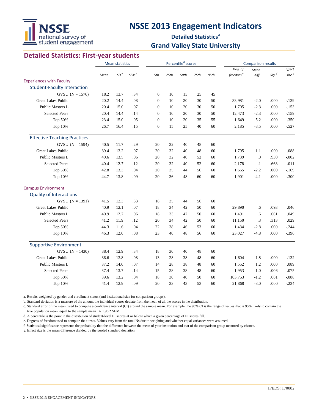

**Grand Valley State University Detailed Statistics<sup>a</sup>** 

### **Detailed Statistics: First-year students**

|                                     |      | <b>Mean statistics</b> |                  | Percentile <sup>d</sup> scores |      |      | <b>Comparison results</b> |      |                      |           |          |                   |
|-------------------------------------|------|------------------------|------------------|--------------------------------|------|------|---------------------------|------|----------------------|-----------|----------|-------------------|
|                                     |      |                        |                  |                                |      |      |                           |      | Deg. of              | Mean      |          | Effect            |
|                                     | Mean | $\mbox{\it SD}^b$      | SEM <sup>c</sup> | 5th                            | 25th | 50th | 75th                      | 95th | freedom <sup>e</sup> | diff.     | Sig. $f$ | size <sup>g</sup> |
| <b>Experiences with Faculty</b>     |      |                        |                  |                                |      |      |                           |      |                      |           |          |                   |
| <b>Student-Faculty Interaction</b>  |      |                        |                  |                                |      |      |                           |      |                      |           |          |                   |
| $GVSU (N = 1576)$                   | 18.2 | 13.7                   | .34              | $\boldsymbol{0}$               | 10   | 15   | 25                        | 45   |                      |           |          |                   |
| <b>Great Lakes Public</b>           | 20.2 | 14.4                   | .08              | $\overline{0}$                 | 10   | 20   | 30                        | 50   | 33,981               | $-2.0$    | .000     | $-139$            |
| Public Masters L                    | 20.4 | 15.0                   | .07              | $\overline{0}$                 | 10   | 20   | 30                        | 50   | 1,705                | $-2.3$    | .000     | $-153$            |
| <b>Selected Peers</b>               | 20.4 | 14.4                   | .14              | $\mathbf{0}$                   | 10   | 20   | 30                        | 50   | 12,473               | $-2.3$    | .000     | $-159$            |
| Top 50%                             | 23.4 | 15.0                   | .05              | $\mathbf{0}$                   | 10   | 20   | 35                        | 55   | 1,649                | $-5.2$    | .000     | $-.350$           |
| Top 10%                             | 26.7 | 16.4                   | .15              | $\overline{0}$                 | 15   | 25   | 40                        | 60   | 2,185                | $-8.5$    | .000     | $-0.527$          |
| <b>Effective Teaching Practices</b> |      |                        |                  |                                |      |      |                           |      |                      |           |          |                   |
| $GVSU (N = 1594)$                   | 40.5 | 11.7                   | .29              | 20                             | 32   | 40   | 48                        | 60   |                      |           |          |                   |
| <b>Great Lakes Public</b>           | 39.4 | 13.2                   | .07              | 20                             | 32   | 40   | 48                        | 60   | 1,795                | 1.1       | .000     | .088              |
| Public Masters L                    | 40.6 | 13.5                   | .06              | 20                             | 32   | 40   | 52                        | 60   | 1,739                | $\Omega$  | .930     | $-0.002$          |
| <b>Selected Peers</b>               | 40.4 | 12.7                   | .12              | 20                             | 32   | 40   | 52                        | 60   | 2,178                | $\cdot$ 1 | .668     | .011              |
| Top 50%                             | 42.8 | 13.3                   | .04              | 20                             | 35   | 44   | 56                        | 60   | 1,665                | $-2.2$    | .000     | $-169$            |
| Top 10%                             | 44.7 | 13.8                   | .09              | 20                             | 36   | 48   | 60                        | 60   | 1,901                | $-4.1$    | .000     | $-.300$           |
| <b>Campus Environment</b>           |      |                        |                  |                                |      |      |                           |      |                      |           |          |                   |
| <b>Quality of Interactions</b>      |      |                        |                  |                                |      |      |                           |      |                      |           |          |                   |
| $GVSU (N = 1391)$                   | 41.5 | 12.3                   | .33              | 18                             | 35   | 44   | 50                        | 60   |                      |           |          |                   |
| <b>Great Lakes Public</b>           | 40.9 | 12.1                   | .07              | 18                             | 34   | 42   | 50                        | 60   | 29,890               | .6        | .093     | .046              |
| <b>Public Masters L</b>             | 40.9 | 12.7                   | .06              | 18                             | 33   | 42   | 50                        | 60   | 1,491                | .6        | .061     | .049              |
| <b>Selected Peers</b>               | 41.2 | 11.9                   | .12              | 20                             | 34   | 42   | 50                        | 60   | 11,150               | .3        | .313     | .029              |
| Top 50%                             | 44.3 | 11.6                   | .04              | 22                             | 38   | 46   | 53                        | 60   | 1,434                | $-2.8$    | .000     | $-.244$           |
| Top 10%                             | 46.3 | 12.0                   | .08              | 23                             | 40   | 48   | 56                        | 60   | 23,027               | $-4.8$    | .000     | $-.396$           |
| <b>Supportive Environment</b>       |      |                        |                  |                                |      |      |                           |      |                      |           |          |                   |
| $GVSU (N = 1430)$                   | 38.4 | 12.9                   | .34              | 18                             | 30   | 40   | 48                        | 60   |                      |           |          |                   |
| <b>Great Lakes Public</b>           | 36.6 | 13.8                   | .08              | 13                             | 28   | 38   | 48                        | 60   | 1,604                | 1.8       | .000     | .132              |
| Public Masters L                    | 37.2 | 14.0                   | .07              | 14                             | 28   | 38   | 48                        | 60   | 1,552                | 1.2       | .000     | .089              |
| <b>Selected Peers</b>               | 37.4 | 13.7                   | .14              | 15                             | 28   | 38   | 48                        | 60   | 1,953                | 1.0       | .006     | .075              |
| Top 50%                             | 39.6 | 13.2                   | .04              | 18                             | 30   | 40   | 50                        | 60   | 103,753              | $-1.2$    | .001     | $-0.088$          |
| Top 10%                             | 41.4 | 12.9                   | .09              | 20                             | 33   | 43   | 53                        | 60   | 21,868               | $-3.0$    | .000     | $-.234$           |

a. Results weighted by gender and enrollment status (and institutional size for comparison groups).

b. Standard deviation is a measure of the amount the individual scores deviate from the mean of all the scores in the distribution.

c. Standard error of the mean, used to compute a confidence interval (CI) around the sample mean. For example, the 95% CI is the range of values that is 95% likely to contain the true population mean, equal to the sample mean +/- 1.96 \* SEM.

d. A percentile is the point in the distribution of student-level EI scores at or below which a given percentage of EI scores fall.

e. Degrees of freedom used to compute the t-tests. Values vary from the total Ns due to weighting and whether equal variances were assumed.

f. Statistical significance represents the probability that the difference between the mean of your institution and that of the comparison group occurred by chance.

g. Effect size is the mean difference divided by the pooled standard deviation.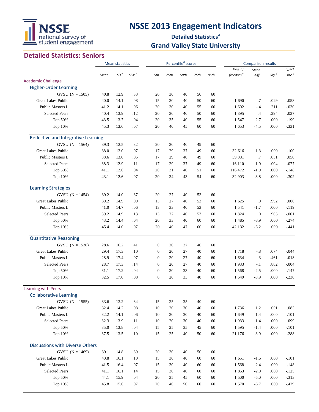

# **Grand Valley State University Detailed Statistics<sup>a</sup>**

### **Detailed Statistics: Seniors**

|                                     | <b>Mean statistics</b> |                 |                  |                |      | Percentile <sup>d</sup> scores |      |      | <b>Comparison results</b>       |               |          |                             |
|-------------------------------------|------------------------|-----------------|------------------|----------------|------|--------------------------------|------|------|---------------------------------|---------------|----------|-----------------------------|
|                                     | Mean                   | SD <sup>b</sup> | SEM <sup>c</sup> | 5th            | 25th | 50th                           | 75th | 95th | Deg. of<br>freedom <sup>e</sup> | Mean<br>diff. | Sig. $f$ | Effect<br>size <sup>g</sup> |
| <b>Academic Challenge</b>           |                        |                 |                  |                |      |                                |      |      |                                 |               |          |                             |
| <b>Higher-Order Learning</b>        |                        |                 |                  |                |      |                                |      |      |                                 |               |          |                             |
| $GVSU (N = 1505)$                   | 40.8                   | 12.9            | .33              | 20             | 30   | 40                             | 50   | 60   |                                 |               |          |                             |
| <b>Great Lakes Public</b>           | 40.0                   | 14.1            | .08              | 15             | 30   | 40                             | 50   | 60   | 1,690                           | .7            | .029     | .053                        |
| Public Masters L                    | 41.2                   | 14.1            | .06              | 20             | 30   | 40                             | 55   | 60   | 1,602                           | $-.4$         | .211     | $-.030$                     |
| <b>Selected Peers</b>               | 40.4                   | 13.9            | .12              | 20             | 30   | 40                             | 50   | 60   | 1,895                           | $\cdot$       | .294     | .027                        |
| Top 50%                             | 43.5                   | 13.7            | .04              | 20             | 35   | 40                             | 55   | 60   | 1,547                           | $-2.7$        | .000     | $-199$                      |
| Top 10%                             | 45.3                   | 13.6            | .07              | 20             | 40   | 45                             | 60   | 60   | 1,653                           | $-4.5$        | .000     | $-.331$                     |
| Reflective and Integrative Learning |                        |                 |                  |                |      |                                |      |      |                                 |               |          |                             |
| $GVSU (N = 1564)$                   | 39.3                   | 12.5            | .32              | 20             | 30   | 40                             | 49   | 60   |                                 |               |          |                             |
| <b>Great Lakes Public</b>           | 38.0                   | 13.0            | .07              | 17             | 29   | 37                             | 49   | 60   | 32,616                          | 1.3           | .000     | .100                        |
| Public Masters L                    | 38.6                   | 13.0            | .05              | 17             | 29   | 40                             | 49   | 60   | 59,881                          | .7            | .051     | .050                        |
| <b>Selected Peers</b>               | 38.3                   | 12.9            | .11              | 17             | 29   | 37                             | 49   | 60   | 16,110                          | 1.0           | .004     | .077                        |
| Top 50%                             | 41.1                   | 12.6            | .04              | 20             | 31   | 40                             | 51   | 60   | 116,472                         | $-1.9$        | .000     | $-.148$                     |
| Top 10%                             | 43.1                   | 12.6            | .07              | 20             | 34   | 43                             | 54   | 60   | 32,903                          | $-3.8$        | .000     | $-302$                      |
| <b>Learning Strategies</b>          |                        |                 |                  |                |      |                                |      |      |                                 |               |          |                             |
| $GVSU (N = 1454)$                   | 39.2                   | 14.0            | .37              | 20             | 27   | 40                             | 53   | 60   |                                 |               |          |                             |
| <b>Great Lakes Public</b>           | 39.2                   | 14.9            | .09              | 13             | 27   | 40                             | 53   | 60   | 1,625                           | $\cdot$       | .992     | .000                        |
| Public Masters L                    | 41.0                   | 14.7            | .06              | 13             | 33   | 40                             | 53   | 60   | 1,541                           | $-1.7$        | .000     | $-.119$                     |
| <b>Selected Peers</b>               | 39.2                   | 14.9            | .13              | 13             | 27   | 40                             | 53   | 60   | 1,824                           | .0            | .965     | $-.001$                     |
| Top 50%                             | 43.2                   | 14.4            | .04              | 20             | 33   | 40                             | 60   | 60   | 1,485                           | $-3.9$        | .000     | $-.274$                     |
| Top 10%                             | 45.4                   | 14.0            | .07              | 20             | 40   | 47                             | 60   | 60   | 42,132                          | $-6.2$        | .000     | $-.441$                     |
| <b>Quantitative Reasoning</b>       |                        |                 |                  |                |      |                                |      |      |                                 |               |          |                             |
| $GVSU (N = 1538)$                   | 28.6                   | 16.2            | .41              | $\mathbf{0}$   | 20   | 27                             | 40   | 60   |                                 |               |          |                             |
| <b>Great Lakes Public</b>           | 29.4                   | 17.3            | .10              | $\mathbf{0}$   | 20   | 27                             | 40   | 60   | 1,718                           | $-.8$         | .074     | $-.044$                     |
| Public Masters L                    | 28.9                   | 17.4            | .07              | $\overline{0}$ | 20   | 27                             | 40   | 60   | 1,634                           | $-.3$         | .461     | $-.018$                     |
| <b>Selected Peers</b>               | 28.7                   | 17.3            | .14              | $\theta$       | 20   | 27                             | 40   | 60   | 1,933                           | $-.1$         | .882     | $-.004$                     |
| Top 50%                             | 31.1                   | 17.2            | .04              | $\theta$       | 20   | 33                             | 40   | 60   | 1,568                           | $-2.5$        | .000     | $-147$                      |
| Top 10%                             | 32.5                   | 17.0            | .08              | $\overline{0}$ | 20   | 33                             | 40   | 60   | 1,649                           | $-3.9$        | .000     | $-.230$                     |
| Learning with Peers                 |                        |                 |                  |                |      |                                |      |      |                                 |               |          |                             |
| <b>Collaborative Learning</b>       |                        |                 |                  |                |      |                                |      |      |                                 |               |          |                             |
| $GVSU (N = 1555)$                   | 33.6                   | 13.2            | .34              | 15             | 25   | 35                             | 40   | 60   |                                 |               |          |                             |
| <b>Great Lakes Public</b>           | 32.4                   | 14.2            | .08              | 10             | 20   | 30                             | 40   | 60   | 1,736                           | 1.2           | .001     | .083                        |
| Public Masters L                    | 32.2                   | 14.1            | .06              | 10             | 20   | 30                             | 40   | 60   | 1,649                           | 1.4           | .000     | .101                        |
| <b>Selected Peers</b>               | 32.3                   | 13.9            | .11              | 10             | 20   | 30                             | 40   | 60   | 1,933                           | 1.4           | .000     | .099                        |
| Top 50%                             | 35.0                   | 13.8            | .04              | 15             | 25   | 35                             | 45   | 60   | 1,595                           | $-1.4$        | .000     | $-.101$                     |
| Top 10%                             | 37.5                   | 13.5            | .10              | 15             | 25   | 40                             | 50   | 60   | 21,176                          | $-3.9$        | .000     | $-.288$                     |
| Discussions with Diverse Others     |                        |                 |                  |                |      |                                |      |      |                                 |               |          |                             |
| $GVSU (N = 1469)$                   | 39.1                   | 14.8            | .39              | 20             | 30   | 40                             | 50   | 60   |                                 |               |          |                             |
| <b>Great Lakes Public</b>           | 40.8                   | 16.1            | $.10\,$          | 15             | 30   | 40                             | 60   | 60   | 1,651                           | $-1.6$        | .000     | $-.101$                     |
| Public Masters L                    | 41.5                   | 16.4            | .07              | 15             | 30   | 40                             | 60   | 60   | 1,568                           | $-2.4$        | .000     | $-.148$                     |
| <b>Selected Peers</b>               | 41.1                   | 16.1            | .14              | 15             | 30   | 40                             | 60   | 60   | 1,863                           | $-2.0$        | .000     | $-.125$                     |
| Top 50%                             | 44.1                   | 15.9            | .04              | 20             | 35   | 45                             | 60   | 60   | 1,500                           | $-5.0$        | .000     | $-.313$                     |
| Top 10%                             | 45.8                   | 15.6            | .07              | 20             | 40   | 50                             | 60   | 60   | 1,570                           | $-6.7$        | .000     | $-429$                      |